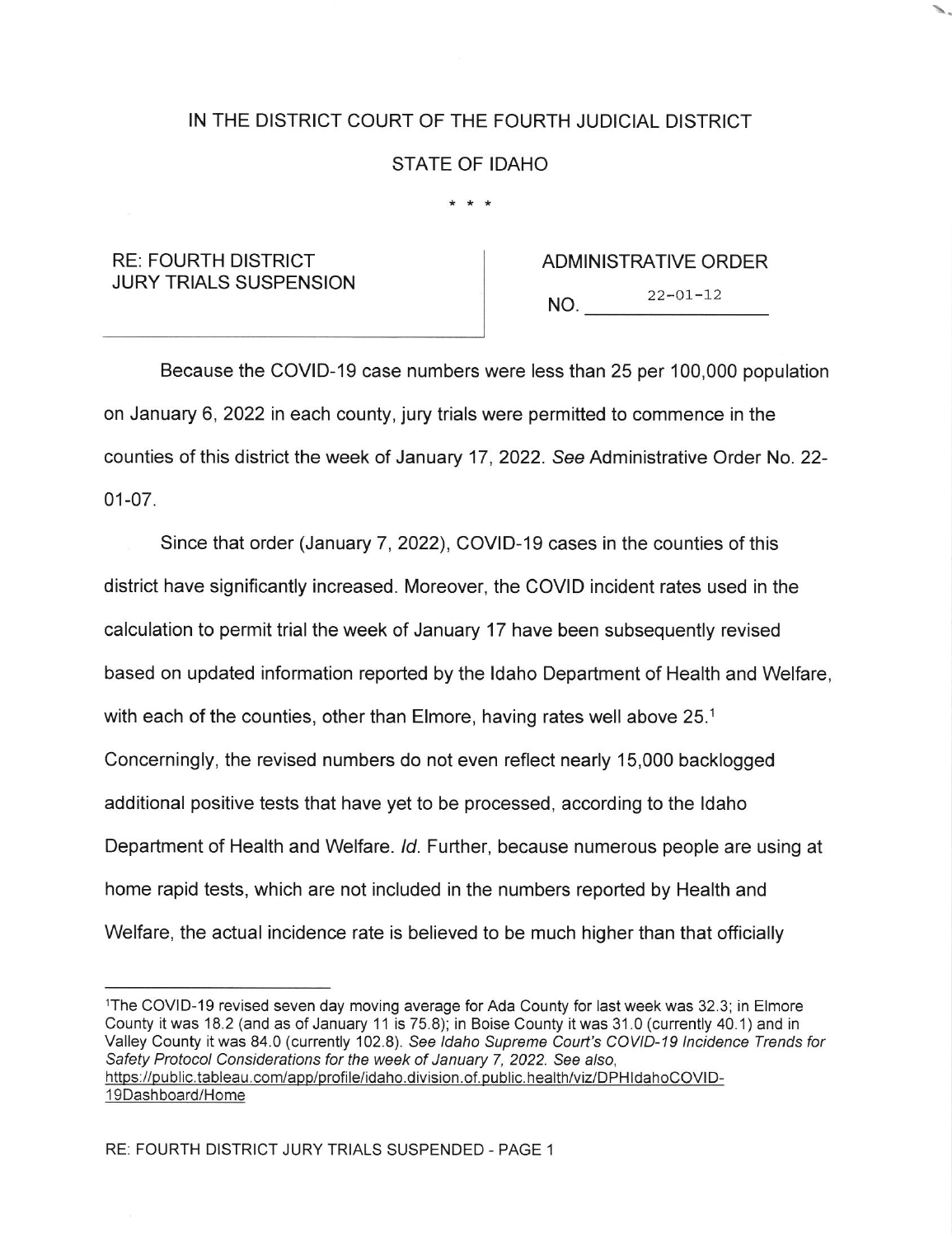## IN THE DISTRICT COURT OF THE FOURTH JUDICIAL DISTRICT

## STATE OF IDAHO

## $* * *$

## RE: FOURTH DISTRICT JURY TRIALS SUSPENSION

ADMINISTRATIVE ORDER  $NO.$   $22-01-12$ 

Because the COVID-19 case numbers were less than 25 per 100,000 population on January 6,2022 in each county, jury trials were permitted to commence in the counties of this district the week of January 17 ,2022. See Administrative Order No. 22- 01-07.

Since that order (January 7,2022), COVID-19 cases in the counties of this district have significantly increased. Moreover, the COVID incident rates used in the calculation to permit trial the week of January 17 have been subsequently revised based on updated information reported by the ldaho Department of Health and Welfare, with each of the counties, other than Elmore, having rates well above 25.<sup>1</sup> Concerningly, the revised numbers do not even reflect nearly 15,000 backlogged additional positive tests that have yet to be processed, according to the ldaho Department of Health and Welfare. /d. Further, because numerous people are using at home rapid tests, which are not included in the numbers reported by Health and Welfare, the actual incidence rate is believed to be much higher than that officially

lThe COVID-19 revised seven day moving average for Ada County for last week was 32.3; in Elmore County it was 18.2 (and as of January 11 is 75.8); in Boise County it was 31.0 (currently 40.1) and in Valley County it was 84.0 (currently 102.8). See Idaho Supreme Court's COVID-19 Incidence Trends for Safety Protocol Considerations for the week of January 7, 2022. See also, https://public.tableau.com/app/profile/idaho.division.of.public.health/viz/DPHIdahoCOVID-<sup>1</sup>9Dash board/Home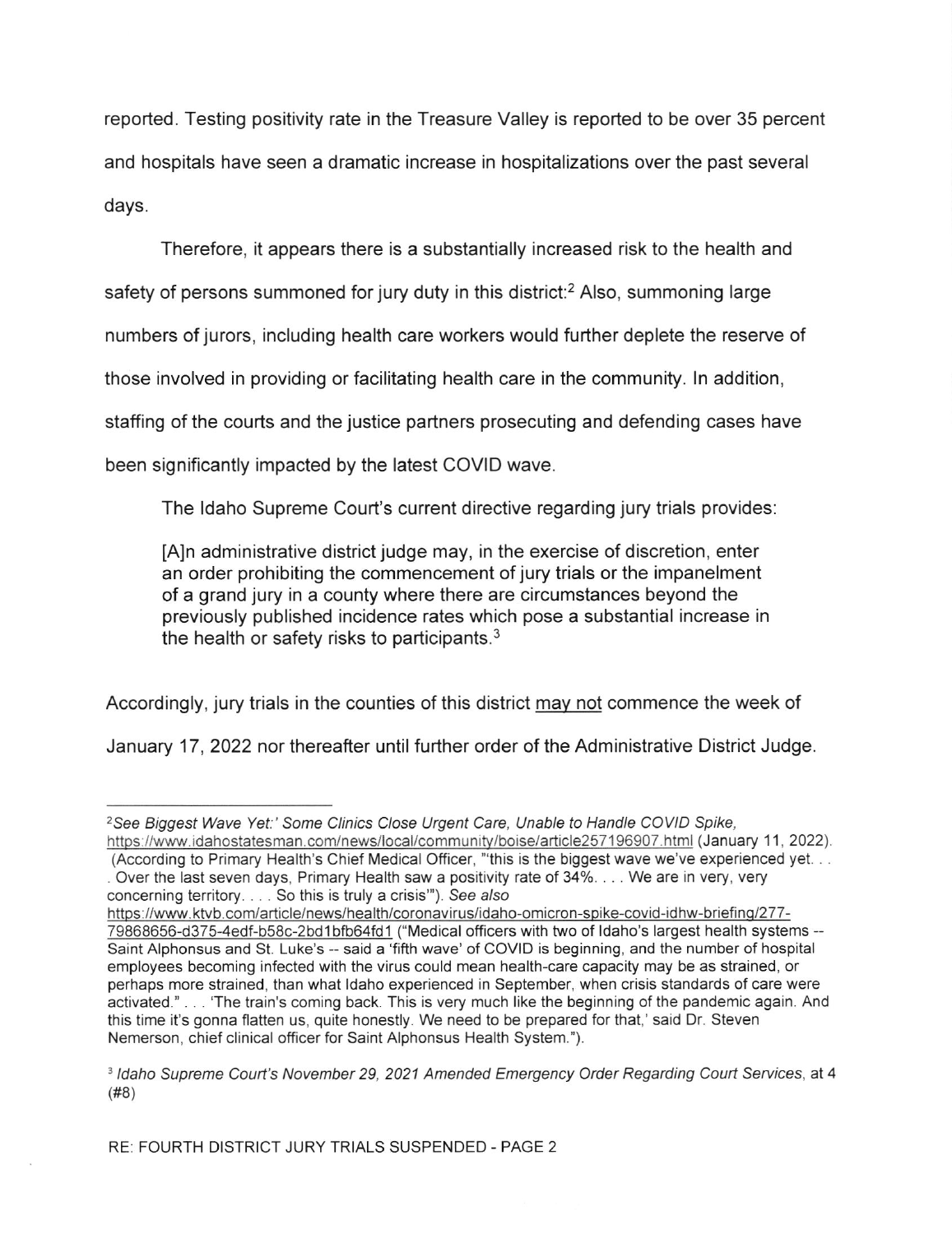reported. Testing positivity rate in the Treasure Valley is reported to be over 35 percent and hospitals have seen a dramatic increase in hospitalizations over the past several days.

Therefore, it appears there is a substantially increased risk to the health and safety of persons summoned for jury duty in this district:<sup>2</sup> Also, summoning large numbers of jurors, including health care workers would further deplete the reserve of those involved in providing or facilitating health care in the community. ln addition, staffing of the courts and the justice partners prosecuting and defending cases have been significantly impacted by the latest COVID wave.

The ldaho Supreme Court's current directive regarding jury trials provides:

[A]n administrative district judge may, in the exercise of discretion, enter an order prohibiting the commencement of jury trials or the impanelment of a grand jury in a county where there are circumstances beyond the previously published incidence rates which pose a substantial increase in the health or safety risks to participants.3

Accordingly, jury trials in the counties of this district mav not commence the week of

January 17, 2022 nor thereafter until further order of the Administrative District Judge.

<sup>&</sup>lt;sup>2</sup>See Biggest Wave Yet:' Some Clinics Close Urgent Care, Unable to Handle COVID Spike, https://www.idahostatesman.com/news/local/community/boise/article257196907.html (January 11, 2022).

<sup>(</sup>According to Primary Health's Chief Medical Officer, "this is the biggest wave we've experienced yet. . . . Over the last seven days, Primary Health saw a positivity rate of  $34\% \dots$  We are in very, very concerning territory. . . . So this is truly a crisis''). See a/so

https://www.ktvb.com/article/news/health/coronavirus/idaho-omicron-spike-covid-idhw-briefing/277-79868656-d375-4edf-b58c-2bd1bfb64fd1 ("Medical officers with two of Idaho's largest health systems --Saint Alphonsus and St. Luke's - said a 'fifth wave' of CoVID is beginning, and the number of hospital employees becoming infected with the virus could mean health-care capacity may be as strained, or perhaps more strained, than what ldaho experienced in September, when crisis standards of care were activated." . . . 'The train's coming back. This is very much like the beginning of the pandemic again. And this time it's gonna flatten us, quite honestly. We need to be prepared for that,' said Dr. Steven Nemerson, chief clinical officer for Saint Alphonsus Health System.").

<sup>&</sup>lt;sup>3</sup> Idaho Supreme Court's November 29, 2021 Amended Emergency Order Regarding Court Services, at 4 (#8)